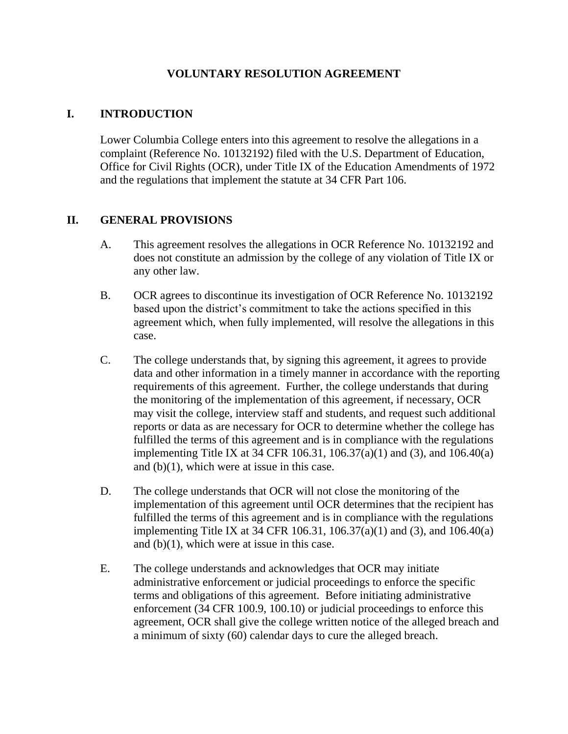### **VOLUNTARY RESOLUTION AGREEMENT**

### **I. INTRODUCTION**

Lower Columbia College enters into this agreement to resolve the allegations in a complaint (Reference No. 10132192) filed with the U.S. Department of Education, Office for Civil Rights (OCR), under Title IX of the Education Amendments of 1972 and the regulations that implement the statute at 34 CFR Part 106.

#### **II. GENERAL PROVISIONS**

- A. This agreement resolves the allegations in OCR Reference No. 10132192 and does not constitute an admission by the college of any violation of Title IX or any other law.
- B. OCR agrees to discontinue its investigation of OCR Reference No. 10132192 based upon the district's commitment to take the actions specified in this agreement which, when fully implemented, will resolve the allegations in this case.
- C. The college understands that, by signing this agreement, it agrees to provide data and other information in a timely manner in accordance with the reporting requirements of this agreement. Further, the college understands that during the monitoring of the implementation of this agreement, if necessary, OCR may visit the college, interview staff and students, and request such additional reports or data as are necessary for OCR to determine whether the college has fulfilled the terms of this agreement and is in compliance with the regulations implementing Title IX at 34 CFR 106.31, 106.37(a)(1) and (3), and 106.40(a) and (b)(1), which were at issue in this case.
- D. The college understands that OCR will not close the monitoring of the implementation of this agreement until OCR determines that the recipient has fulfilled the terms of this agreement and is in compliance with the regulations implementing Title IX at 34 CFR 106.31, 106.37(a)(1) and (3), and 106.40(a) and (b)(1), which were at issue in this case.
- E. The college understands and acknowledges that OCR may initiate administrative enforcement or judicial proceedings to enforce the specific terms and obligations of this agreement. Before initiating administrative enforcement (34 CFR 100.9, 100.10) or judicial proceedings to enforce this agreement, OCR shall give the college written notice of the alleged breach and a minimum of sixty (60) calendar days to cure the alleged breach.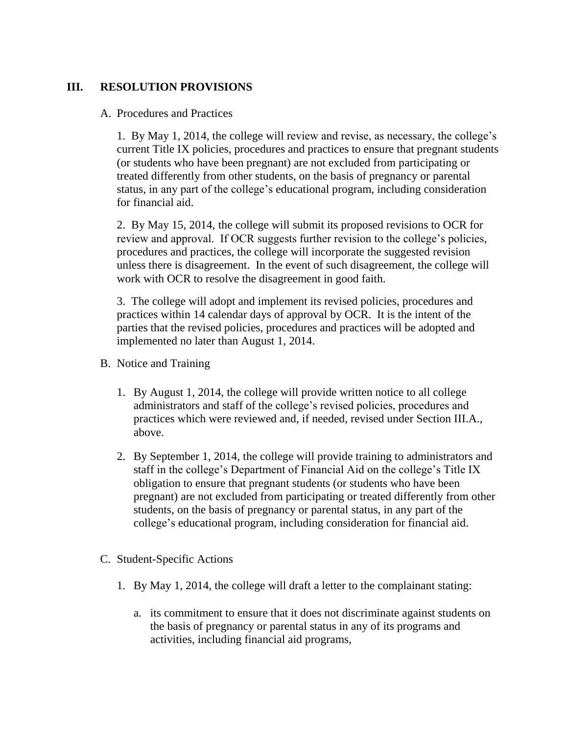#### **III. RESOLUTION PROVISIONS**

#### A. Procedures and Practices

1. By May 1, 2014, the college will review and revise, as necessary, the college's current Title IX policies, procedures and practices to ensure that pregnant students (or students who have been pregnant) are not excluded from participating or treated differently from other students, on the basis of pregnancy or parental status, in any part of the college's educational program, including consideration for financial aid.

2. By May 15, 2014, the college will submit its proposed revisions to OCR for review and approval. If OCR suggests further revision to the college's policies, procedures and practices, the college will incorporate the suggested revision unless there is disagreement. In the event of such disagreement, the college will work with OCR to resolve the disagreement in good faith.

3. The college will adopt and implement its revised policies, procedures and practices within 14 calendar days of approval by OCR. It is the intent of the parties that the revised policies, procedures and practices will be adopted and implemented no later than August 1, 2014.

- B. Notice and Training
	- 1. By August 1, 2014, the college will provide written notice to all college administrators and staff of the college's revised policies, procedures and practices which were reviewed and, if needed, revised under Section III.A., above.
	- 2. By September 1, 2014, the college will provide training to administrators and staff in the college's Department of Financial Aid on the college's Title IX obligation to ensure that pregnant students (or students who have been pregnant) are not excluded from participating or treated differently from other students, on the basis of pregnancy or parental status, in any part of the college's educational program, including consideration for financial aid.
- C. Student-Specific Actions
	- 1. By May 1, 2014, the college will draft a letter to the complainant stating:
		- a. its commitment to ensure that it does not discriminate against students on the basis of pregnancy or parental status in any of its programs and activities, including financial aid programs,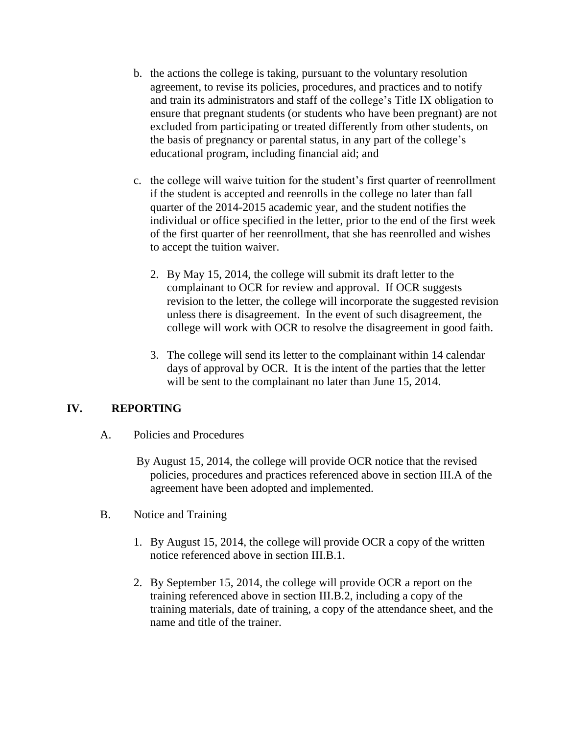- b. the actions the college is taking, pursuant to the voluntary resolution agreement, to revise its policies, procedures, and practices and to notify and train its administrators and staff of the college's Title IX obligation to ensure that pregnant students (or students who have been pregnant) are not excluded from participating or treated differently from other students, on the basis of pregnancy or parental status, in any part of the college's educational program, including financial aid; and
- c. the college will waive tuition for the student's first quarter of reenrollment if the student is accepted and reenrolls in the college no later than fall quarter of the 2014-2015 academic year, and the student notifies the individual or office specified in the letter, prior to the end of the first week of the first quarter of her reenrollment, that she has reenrolled and wishes to accept the tuition waiver.
	- 2. By May 15, 2014, the college will submit its draft letter to the complainant to OCR for review and approval. If OCR suggests revision to the letter, the college will incorporate the suggested revision unless there is disagreement. In the event of such disagreement, the college will work with OCR to resolve the disagreement in good faith.
	- 3. The college will send its letter to the complainant within 14 calendar days of approval by OCR. It is the intent of the parties that the letter will be sent to the complainant no later than June 15, 2014.

## **IV. REPORTING**

- A. Policies and Procedures
	- By August 15, 2014, the college will provide OCR notice that the revised policies, procedures and practices referenced above in section III.A of the agreement have been adopted and implemented.
- B. Notice and Training
	- 1. By August 15, 2014, the college will provide OCR a copy of the written notice referenced above in section III.B.1.
	- 2. By September 15, 2014, the college will provide OCR a report on the training referenced above in section III.B.2, including a copy of the training materials, date of training, a copy of the attendance sheet, and the name and title of the trainer.